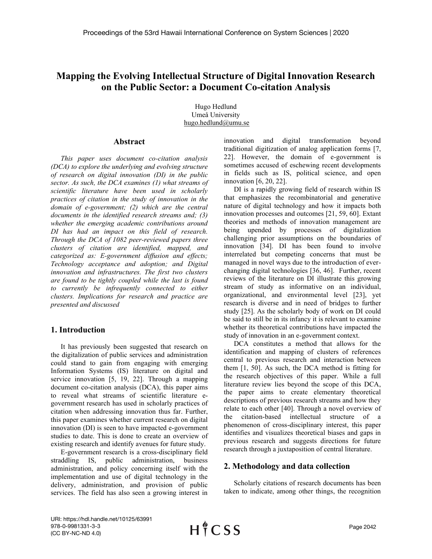# **Mapping the Evolving Intellectual Structure of Digital Innovation Research on the Public Sector: a Document Co-citation Analysis**

Hugo Hedlund Umeå University [hugo.hedlund@umu.se](mailto:hugo.hedlund@umu.se)

### **Abstract**

*This paper uses document co-citation analysis (DCA) to explore the underlying and evolving structure of research on digital innovation (DI) in the public sector. As such, the DCA examines (1) what streams of scientific literature have been used in scholarly practices of citation in the study of innovation in the domain of e-government; (2) which are the central documents in the identified research streams and; (3) whether the emerging academic contributions around DI has had an impact on this field of research. Through the DCA of 1082 peer-reviewed papers three clusters of citation are identified, mapped, and categorized as: E-government diffusion and effects; Technology acceptance and adoption; and Digital innovation and infrastructures. The first two clusters are found to be tightly coupled while the last is found to currently be infrequently connected to either clusters. Implications for research and practice are presented and discussed*

## **1. Introduction**

It has previously been suggested that research on the digitalization of public services and administration could stand to gain from engaging with emerging Information Systems (IS) literature on digital and service innovation [5, 19, 22]. Through a mapping document co-citation analysis (DCA), this paper aims to reveal what streams of scientific literature egovernment research has used in scholarly practices of citation when addressing innovation thus far. Further, this paper examines whether current research on digital innovation (DI) is seen to have impacted e-government studies to date. This is done to create an overview of existing research and identify avenues for future study.

E-government research is a cross-disciplinary field straddling IS, public administration, business administration, and policy concerning itself with the implementation and use of digital technology in the delivery, administration, and provision of public services. The field has also seen a growing interest in innovation and digital transformation beyond traditional digitization of analog application forms [7, 22]. However, the domain of e-government is sometimes accused of eschewing recent developments in fields such as IS, political science, and open innovation [6, 20, 22].

DI is a rapidly growing field of research within IS that emphasizes the recombinatorial and generative nature of digital technology and how it impacts both innovation processes and outcomes [21, 59, 60]. Extant theories and methods of innovation management are being upended by processes of digitalization challenging prior assumptions on the boundaries of innovation [34]. DI has been found to involve interrelated but competing concerns that must be managed in novel ways due to the introduction of everchanging digital technologies [36, 46]. Further, recent reviews of the literature on DI illustrate this growing stream of study as informative on an individual, organizational, and environmental level [23], yet research is diverse and in need of bridges to further study [25]. As the scholarly body of work on DI could be said to still be in its infancy it is relevant to examine whether its theoretical contributions have impacted the study of innovation in an e-government context.

DCA constitutes a method that allows for the identification and mapping of clusters of references central to previous research and interaction between them [1, 50]. As such, the DCA method is fitting for the research objectives of this paper. While a full literature review lies beyond the scope of this DCA, the paper aims to create elementary theoretical descriptions of previous research streams and how they relate to each other [40]. Through a novel overview of the citation-based intellectual structure of a phenomenon of cross-disciplinary interest, this paper identifies and visualizes theoretical biases and gaps in previous research and suggests directions for future research through a juxtaposition of central literature.

### **2. Methodology and data collection**

Scholarly citations of research documents has been taken to indicate, among other things, the recognition

URI: https://hdl.handle.net/10125/63991 978-0-9981331-3-3 (CC BY-NC-ND 4.0)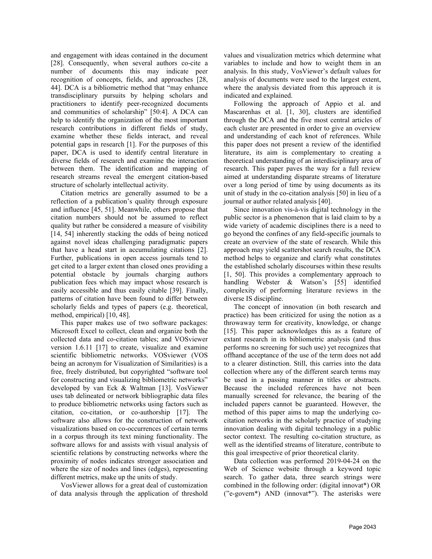and engagement with ideas contained in the document [28]. Consequently, when several authors co-cite a number of documents this may indicate peer recognition of concepts, fields, and approaches [28, 44]. DCA is a bibliometric method that "may enhance transdisciplinary pursuits by helping scholars and practitioners to identify peer-recognized documents and communities of scholarship" [50:4]. A DCA can help to identify the organization of the most important research contributions in different fields of study, examine whether these fields interact, and reveal potential gaps in research [1]. For the purposes of this paper, DCA is used to identify central literature in diverse fields of research and examine the interaction between them. The identification and mapping of research streams reveal the emergent citation-based structure of scholarly intellectual activity.

Citation metrics are generally assumed to be a reflection of a publication's quality through exposure and influence [45, 51]. Meanwhile, others propose that citation numbers should not be assumed to reflect quality but rather be considered a measure of visibility [14, 54] inherently stacking the odds of being noticed against novel ideas challenging paradigmatic papers that have a head start in accumulating citations [2]. Further, publications in open access journals tend to get cited to a larger extent than closed ones providing a potential obstacle by journals charging authors publication fees which may impact whose research is easily accessible and thus easily citable [39]. Finally, patterns of citation have been found to differ between scholarly fields and types of papers (e.g. theoretical, method, empirical) [10, 48].

This paper makes use of two software packages: Microsoft Excel to collect, clean and organize both the collected data and co-citation tables; and VOSviewer version 1.6.11 [17] to create, visualize and examine scientific bibliometric networks. VOSviewer (VOS being an acronym for Visualization of Similarities) is a free, freely distributed, but copyrighted "software tool for constructing and visualizing bibliometric networks" developed by van Eck & Waltman [13]. VosViewer uses tab delineated or network bibliographic data files to produce bibliometric networks using factors such as citation, co-citation, or co-authorship [17]. The software also allows for the construction of network visualizations based on co-occurrences of certain terms in a corpus through its text mining functionality. The software allows for and assists with visual analysis of scientific relations by constructing networks where the proximity of nodes indicates stronger association and where the size of nodes and lines (edges), representing different metrics, make up the units of study.

VosViewer allows for a great deal of customization of data analysis through the application of threshold values and visualization metrics which determine what variables to include and how to weight them in an analysis. In this study, VosViewer's default values for analysis of documents were used to the largest extent, where the analysis deviated from this approach it is indicated and explained.

Following the approach of Appio et al. and Mascarenhas et al. [1, 30], clusters are identified through the DCA and the five most central articles of each cluster are presented in order to give an overview and understanding of each knot of references. While this paper does not present a review of the identified literature, its aim is complementary to creating a theoretical understanding of an interdisciplinary area of research. This paper paves the way for a full review aimed at understanding disparate streams of literature over a long period of time by using documents as its unit of study in the co-citation analysis [50] in lieu of a journal or author related analysis [40].

Since innovation vis-à-vis digital technology in the public sector is a phenomenon that is laid claim to by a wide variety of academic disciplines there is a need to go beyond the confines of any field-specific journals to create an overview of the state of research. While this approach may yield scattershot search results, the DCA method helps to organize and clarify what constitutes the established scholarly discourses within these results [1, 50]. This provides a complementary approach to handling Webster & Watson's [55] identified complexity of performing literature reviews in the diverse IS discipline.

The concept of innovation (in both research and practice) has been criticized for using the notion as a throwaway term for creativity, knowledge, or change [15]. This paper acknowledges this as a feature of extant research in its bibliometric analysis (and thus performs no screening for such use) yet recognizes that offhand acceptance of the use of the term does not add to a clearer distinction. Still, this carries into the data collection where any of the different search terms may be used in a passing manner in titles or abstracts. Because the included references have not been manually screened for relevance, the bearing of the included papers cannot be guaranteed. However, the method of this paper aims to map the underlying cocitation networks in the scholarly practice of studying innovation dealing with digital technology in a public sector context. The resulting co-citation structure, as well as the identified streams of literature, contribute to this goal irrespective of prior theoretical clarity.

Data collection was performed 2019-04-24 on the Web of Science website through a keyword topic search. To gather data, three search strings were combined in the following order: (digital innovat\*) OR ("e-govern\*) AND (innovat\*"). The asterisks were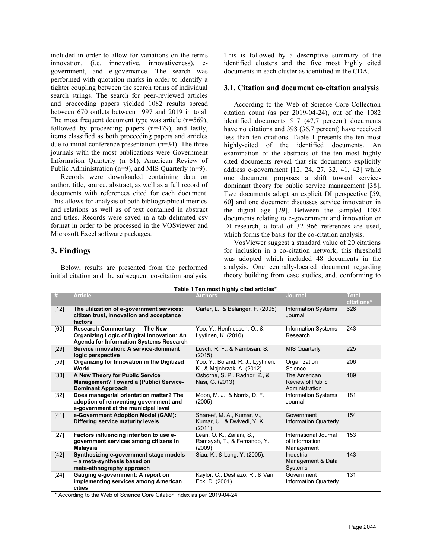included in order to allow for variations on the terms innovation, (i.e. innovative, innovativeness), egovernment, and e-governance. The search was performed with quotation marks in order to identify a tighter coupling between the search terms of individual search strings. The search for peer-reviewed articles and proceeding papers yielded 1082 results spread between 670 outlets between 1997 and 2019 in total. The most frequent document type was article (n=569), followed by proceeding papers (n=479), and lastly, items classified as both proceeding papers and articles due to initial conference presentation (n=34). The three journals with the most publications were Government Information Quarterly (n=61), American Review of Public Administration (n=9), and MIS Quarterly (n=9).

Records were downloaded containing data on author, title, source, abstract, as well as a full record of documents with references cited for each document. This allows for analysis of both bibliographical metrics and relations as well as of text contained in abstract and titles. Records were saved in a tab-delimited csv format in order to be processed in the VOSviewer and Microsoft Excel software packages.

# **3. Findings**

Below, results are presented from the performed initial citation and the subsequent co-citation analysis.

This is followed by a descriptive summary of the identified clusters and the five most highly cited documents in each cluster as identified in the CDA.

### **3.1. Citation and document co-citation analysis**

According to the Web of Science Core Collection citation count (as per 2019-04-24), out of the 1082 identified documents 517 (47,7 percent) documents have no citations and 398 (36,7 percent) have received less than ten citations. Table 1 presents the ten most highly-cited of the identified documents. An examination of the abstracts of the ten most highly cited documents reveal that six documents explicitly address e-government [12, 24, 27, 32, 41, 42] while one document proposes a shift toward servicedominant theory for public service management [38]. Two documents adopt an explicit DI perspective [59, 60] and one document discusses service innovation in the digital age [29]. Between the sampled 1082 documents relating to e-government and innovation or DI research, a total of 32 966 references are used, which forms the basis for the co-citation analysis.

VosViewer suggest a standard value of 20 citations for inclusion in a co-citation network, this threshold was adopted which included 48 documents in the analysis. One centrally-located document regarding theory building from case studies, and, conforming to

| Table 1 Ten most highly cited articles*                                 |                                                                                                                                      |                                                                     |                                                       |                            |  |
|-------------------------------------------------------------------------|--------------------------------------------------------------------------------------------------------------------------------------|---------------------------------------------------------------------|-------------------------------------------------------|----------------------------|--|
| #                                                                       | <b>Article</b>                                                                                                                       | <b>Authors</b>                                                      | <b>Journal</b>                                        | <b>Total</b><br>citations* |  |
| $[12]$                                                                  | The utilization of e-government services:<br>citizen trust, innovation and acceptance<br>factors                                     | Carter, L., & Bélanger, F. (2005)                                   | <b>Information Systems</b><br>Journal                 | 626                        |  |
| [60]                                                                    | <b>Research Commentary - The New</b><br>Organizing Logic of Digital Innovation: An<br><b>Agenda for Information Systems Research</b> | Yoo, Y., Henfridsson, O., &<br>Lyytinen, K. (2010).                 | <b>Information Systems</b><br>Research                | 243                        |  |
| $[29]$                                                                  | Service innovation: A service-dominant<br>logic perspective                                                                          | Lusch, R. F., & Nambisan, S.<br>(2015)                              | <b>MIS Quarterly</b>                                  | 225                        |  |
| $[59]$                                                                  | Organizing for Innovation in the Digitized<br>World                                                                                  | Yoo, Y., Boland, R. J., Lyytinen,<br>K., & Majchrzak, A. (2012)     | Organization<br>Science                               | 206                        |  |
| $[38]$                                                                  | A New Theory for Public Service<br>Management? Toward a (Public) Service-<br><b>Dominant Approach</b>                                | Osborne, S. P., Radnor, Z., &<br>Nasi, G. (2013)                    | The American<br>Review of Public<br>Administration    | 189                        |  |
| $[32]$                                                                  | Does managerial orientation matter? The<br>adoption of reinventing government and<br>e-government at the municipal level             | Moon, M. J., & Norris, D. F.<br>(2005)                              | <b>Information Systems</b><br>Journal                 | 181                        |  |
| $[41]$                                                                  | e-Government Adoption Model (GAM):<br>Differing service maturity levels                                                              | Shareef, M. A., Kumar, V.,<br>Kumar, U., & Dwivedi, Y. K.<br>(2011) | Government<br><b>Information Quarterly</b>            | 154                        |  |
| $[27]$                                                                  | Factors influencing intention to use e-<br>government services among citizens in<br><b>Malaysia</b>                                  | Lean, O. K., Zailani, S.,<br>Ramayah, T., & Fernando, Y.<br>(2009)  | International Journal<br>of Information<br>Management | 153                        |  |
| $[42]$                                                                  | Synthesizing e-government stage models<br>- a meta-synthesis based on<br>meta-ethnography approach                                   | Siau, K., & Long, Y. (2005).                                        | Industrial<br>Management & Data<br>Systems            | 143                        |  |
| $[24]$                                                                  | Gauging e-government: A report on<br>implementing services among American<br>cities                                                  | Kaylor, C., Deshazo, R., & Van<br>Eck, D. (2001)                    | Government<br><b>Information Quarterly</b>            | 131                        |  |
| * According to the Web of Science Core Citation index as per 2019-04-24 |                                                                                                                                      |                                                                     |                                                       |                            |  |

\* According to the Web of Science Core Citation index as per 2019-04-24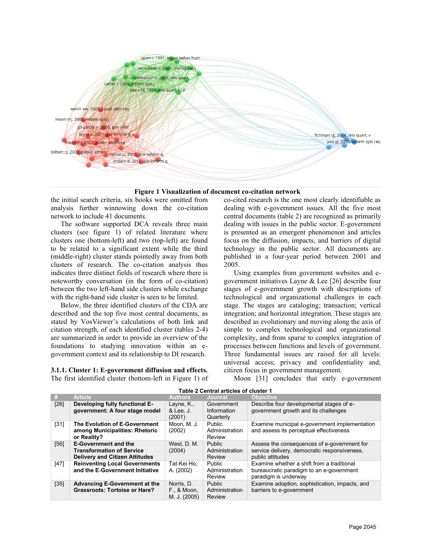

#### **Figure 1 Visualization of document co-citation network**

the initial search criteria, six books were omitted from analysis further winnowing down the co-citation network to include 41 documents.

The software supported DCA reveals three main clusters (see figure 1) of related literature where clusters one (bottom-left) and two (top-left) are found to be related to a significant extent while the third (middle-right) cluster stands pointedly away from both clusters of research. The co-citation analysis thus indicates three distinct fields of research where there is noteworthy conversation (in the form of co-citation) between the two left-hand side clusters while exchange with the right-hand side cluster is seen to be limited.

Below, the three identified clusters of the CDA are described and the top five most central documents, as stated by VosViewer's calculations of both link and citation strength, of each identified cluster (tables 2-4) are summarized in order to provide an overview of the foundations to studying innovation within an egovernment context and its relationship to DI research.

**3.1.1. Cluster 1: E-government diffusion and effects.** The first identified cluster (bottom-left in Figure 1) of co-cited research is the one most clearly identifiable as dealing with e-government issues. All the five most central documents (table 2) are recognized as primarily dealing with issues in the public sector. E-government is presented as an emergent phenomenon and articles focus on the diffusion, impacts, and barriers of digital technology in the public sector. All documents are published in a four-year period between 2001 and 2005.

Using examples from government websites and egovernment initiatives Layne & Lee [26] describe four stages of e-government growth with descriptions of technological and organizational challenges in each stage. The stages are cataloging; transaction; vertical integration; and horizontal integration. These stages are described as evolutionary and moving along the axis of simple to complex technological and organizational complexity, and from sparse to complex integration of processes between functions and levels of government. Three fundamental issues are raised for all levels: universal access; privacy and confidentiality and; citizen focus in government management.

Moon [31] concludes that early e-government

|        | 1 ADIG 4 OGHLAFAR ILIGIGƏ VI GIUƏLGI 1                                                                   |                                                      |                                           |                                                                                                                 |
|--------|----------------------------------------------------------------------------------------------------------|------------------------------------------------------|-------------------------------------------|-----------------------------------------------------------------------------------------------------------------|
| .#     | <b>Article</b>                                                                                           | <b>Authors</b>                                       | <b>Journal</b>                            | <b>Objective</b>                                                                                                |
| [26]   | Developing fully functional E-<br>government: A four stage model                                         | Layne, $K_{\cdot}$ ,<br>& Lee, J.<br>(2001)          | Government<br>Information<br>Quarterly    | Describe four developmental stages of e-<br>government growth and its challenges                                |
| $[31]$ | The Evolution of E-Government<br>among Municipalities: Rhetoric<br>or Reality?                           | Moon, M. J.<br>(2002)                                | <b>Public</b><br>Administration<br>Review | Examine municipal e-government implementation<br>and assess its perceptual effectiveness                        |
| [56]   | <b>E-Government and the</b><br><b>Transformation of Service</b><br><b>Delivery and Citizen Attitudes</b> | West. D. M.<br>(2004)                                | <b>Public</b><br>Administration<br>Review | Assess the consequences of e-government for<br>service delivery, democratic responsiveness,<br>public attitudes |
| [47]   | <b>Reinventing Local Governments</b><br>and the E-Government Initiative                                  | Tat-Kei Ho.<br>A. (2002)                             | Public<br>Administration<br>Review        | Examine whether a shift from a traditional<br>bureaucratic paradigm to an e-government<br>paradigm is underway  |
| $[35]$ | <b>Advancing E-Government at the</b><br><b>Grassroots: Tortoise or Hare?</b>                             | Norris. D.<br><b>F., &amp; Moon,</b><br>M. J. (2005) | Public<br>Administration<br><b>Review</b> | Examine adoption, sophistication, impacts, and<br>barriers to e-government                                      |

### **Table 2 Central articles of cluster 1**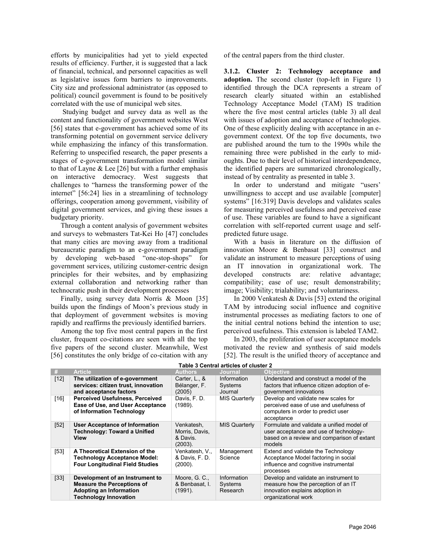efforts by municipalities had yet to yield expected results of efficiency. Further, it is suggested that a lack of financial, technical, and personnel capacities as well as legislative issues form barriers to improvements. City size and professional administrator (as opposed to political) council government is found to be positively correlated with the use of municipal web sites.

Studying budget and survey data as well as the content and functionality of government websites West [56] states that e-government has achieved some of its transforming potential on government service delivery while emphasizing the infancy of this transformation. Referring to unspecified research, the paper presents a stages of e-government transformation model similar to that of Layne & Lee [26] but with a further emphasis on interactive democracy. West suggests that challenges to "harness the transforming power of the internet" [56:24] lies in a streamlining of technology offerings, cooperation among government, visibility of digital government services, and giving these issues a budgetary priority.

Through a content analysis of government websites and surveys to webmasters Tat-Kei Ho [47] concludes that many cities are moving away from a traditional bureaucratic paradigm to an e-government paradigm by developing web-based "one-stop-shops" for government services, utilizing customer-centric design principles for their websites, and by emphasizing external collaboration and networking rather than technocratic push in their development processes

Finally, using survey data Norris & Moon [35] builds upon the findings of Moon's previous study in that deployment of government websites is moving rapidly and reaffirms the previously identified barriers.

Among the top five most central papers in the first cluster, frequent co-citations are seen with all the top five papers of the second cluster. Meanwhile, West [56] constitutes the only bridge of co-citation with any

of the central papers from the third cluster.

**3.1.2. Cluster 2: Technology acceptance and adoption.** The second cluster (top-left in Figure 1) identified through the DCA represents a stream of research clearly situated within an established Technology Acceptance Model (TAM) IS tradition where the five most central articles (table 3) all deal with issues of adoption and acceptance of technologies. One of these explicitly dealing with acceptance in an egovernment context. Of the top five documents, two are published around the turn to the 1990s while the remaining three were published in the early to midoughts. Due to their level of historical interdependence, the identified papers are summarized chronologically, instead of by centrality as presented in table 3.

In order to understand and mitigate "users' unwillingness to accept and use available [computer] systems" [16:319] Davis develops and validates scales for measuring perceived usefulness and perceived ease of use. These variables are found to have a significant correlation with self-reported current usage and selfpredicted future usage.

With a basis in literature on the diffusion of innovation Moore & Benbasat [33] construct and validate an instrument to measure perceptions of using an IT innovation in organizational work. The developed constructs are: relative advantage; compatibility; ease of use; result demonstrability; image; Visibility; trialability; and voluntariness.

In 2000 Venkatesh & Davis [53] extend the original TAM by introducing social influence and cognitive instrumental processes as mediating factors to one of the initial central notions behind the intention to use; perceived usefulness. This extension is labeled TAM2.

In 2003, the proliferation of user acceptance models motivated the review and synthesis of said models [52]. The result is the unified theory of acceptance and

|        | Table 3 Gentral anticles of cluster 2                                                                                           |                                                     |                                    |                                                                                                                                             |
|--------|---------------------------------------------------------------------------------------------------------------------------------|-----------------------------------------------------|------------------------------------|---------------------------------------------------------------------------------------------------------------------------------------------|
| #      | <b>Article</b>                                                                                                                  | <b>Authors</b>                                      | <b>Journal</b>                     | <b>Objective</b>                                                                                                                            |
| $[12]$ | The utilization of e-government<br>services: citizen trust, innovation<br>and acceptance factors                                | Carter, L., &<br>Bélanger, F.<br>(2005)             | Information<br>Systems<br>Journal  | Understand and construct a model of the<br>factors that influence citizen adoption of e-<br>government innovations                          |
| [16]   | <b>Perceived Usefulness, Perceived</b><br>Ease of Use, and User Acceptance<br>of Information Technology                         | Davis, F. D.<br>$(1989)$ .                          | <b>MIS Quarterly</b>               | Develop and validate new scales for<br>perceived ease of use and usefulness of<br>computers in order to predict user<br>acceptance          |
| $[52]$ | User Acceptance of Information<br>Technology: Toward a Unified<br>View                                                          | Venkatesh.<br>Morris, Davis,<br>& Davis.<br>(2003). | <b>MIS Quarterly</b>               | Formulate and validate a unified model of<br>user acceptance and use of technology-<br>based on a review and comparison of extant<br>models |
| $[53]$ | A Theoretical Extension of the<br><b>Technology Acceptance Model:</b><br><b>Four Longitudinal Field Studies</b>                 | Venkatesh, V.,<br>& Davis, F. D.<br>(2000).         | Management<br>Science              | Extend and validate the Technology<br>Acceptance Model factoring in social<br>influence and cognitive instrumental<br>processes             |
| $[33]$ | Development of an Instrument to<br><b>Measure the Perceptions of</b><br>Adopting an Information<br><b>Technology Innovation</b> | Moore, G. C.,<br>& Benbasat, I.<br>$(1991)$ .       | Information<br>Systems<br>Research | Develop and validate an instrument to<br>measure how the perception of an IT<br>innovation explains adoption in<br>organizational work      |

**Table 3 Central articles of cluster 2**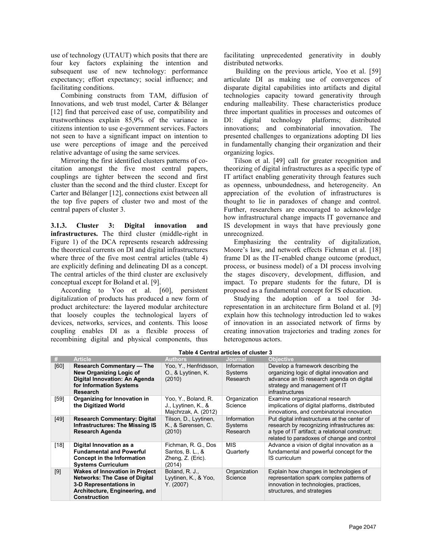use of technology (UTAUT) which posits that there are four key factors explaining the intention and subsequent use of new technology: performance expectancy; effort expectancy; social influence; and facilitating conditions.

Combining constructs from TAM, diffusion of Innovations, and web trust model, Carter & Bélanger [12] find that perceived ease of use, compatibility and trustworthiness explain 85,9% of the variance in citizens intention to use e-government services. Factors not seen to have a significant impact on intention to use were perceptions of image and the perceived relative advantage of using the same services.

Mirroring the first identified clusters patterns of cocitation amongst the five most central papers, couplings are tighter between the second and first cluster than the second and the third cluster. Except for Carter and Bélanger [12], connections exist between all the top five papers of cluster two and most of the central papers of cluster 3.

**3.1.3. Cluster 3: Digital innovation and infrastructures.** The third cluster (middle-right in Figure 1) of the DCA represents research addressing the theoretical currents on DI and digital infrastructures where three of the five most central articles (table 4) are explicitly defining and delineating DI as a concept. The central articles of the third cluster are exclusively conceptual except for Boland et al. [9].

According to Yoo et al. [60], persistent digitalization of products has produced a new form of product architecture: the layered modular architecture that loosely couples the technological layers of devices, networks, services, and contents. This loose coupling enables DI as a flexible process of recombining digital and physical components, thus

facilitating unprecedented generativity in doubly distributed networks.

Building on the previous article, Yoo et al. [59] articulate DI as making use of convergences of disparate digital capabilities into artifacts and digital technologies capacity toward generativity through enduring malleability. These characteristics produce three important qualities in processes and outcomes of DI: digital technology platforms; distributed innovations; and combinatorial innovation. The presented challenges to organizations adopting DI lies in fundamentally changing their organization and their organizing logics.

Tilson et al. [49] call for greater recognition and theorizing of digital infrastructures as a specific type of IT artifact enabling generativity through features such as openness, unboundedness, and heterogeneity. An appreciation of the evolution of infrastructures is thought to lie in paradoxes of change and control. Further, researchers are encouraged to acknowledge how infrastructural change impacts IT governance and IS development in ways that have previously gone unrecognized.

Emphasizing the centrality of digitalization, Moore's law, and network effects Fichman et al. [18] frame DI as the IT-enabled change outcome (product, process, or business model) of a DI process involving the stages discovery, development, diffusion, and impact. To prepare students for the future, DI is proposed as a fundamental concept for IS education.

Studying the adoption of a tool for 3drepresentation in an architecture firm Boland et al. [9] explain how this technology introduction led to wakes of innovation in an associated network of firms by creating innovation trajectories and trading zones for heterogenous actors.

|        | rable 4 Central anticles of cluster 3                                                                                                                            |                                                                        |                                    |                                                                                                                                                                                             |
|--------|------------------------------------------------------------------------------------------------------------------------------------------------------------------|------------------------------------------------------------------------|------------------------------------|---------------------------------------------------------------------------------------------------------------------------------------------------------------------------------------------|
| #      | <b>Article</b>                                                                                                                                                   | <b>Authors</b>                                                         | <b>Journal</b>                     | <b>Objective</b>                                                                                                                                                                            |
| [60]   | <b>Research Commentary — The</b><br><b>New Organizing Logic of</b><br>Digital Innovation: An Agenda<br>for Information Systems<br><b>Research</b>                | Yoo, Y., Henfridsson,<br>O., & Lyytinen, K.<br>(2010)                  | Information<br>Systems<br>Research | Develop a framework describing the<br>organizing logic of digital innovation and<br>advance an IS research agenda on digital<br>strategy and management of IT<br>infrastructures            |
| [59]   | Organizing for Innovation in<br>the Digitized World                                                                                                              | Yoo, Y., Boland, R.<br>J., Lyytinen, K., &<br>Majchrzak, A. (2012)     | Organization<br>Science            | Examine organizational research<br>implications of digital platforms, distributed<br>innovations, and combinatorial innovation                                                              |
| [49]   | <b>Research Commentary: Digital</b><br><b>Infrastructures: The Missing IS</b><br><b>Research Agenda</b>                                                          | Tilson, D., Lyytinen,<br>K., & Sørensen, C.<br>(2010)                  | Information<br>Systems<br>Research | Put digital infrastructures at the center of<br>research by recognizing infrastructures as:<br>a type of IT artifact; a relational construct;<br>related to paradoxes of change and control |
| $[18]$ | Digital Innovation as a<br><b>Fundamental and Powerful</b><br><b>Concept in the Information</b><br><b>Systems Curriculum</b>                                     | Fichman, R. G., Dos<br>Santos, B. L., &<br>Zheng, Z. (Eric).<br>(2014) | <b>MIS</b><br>Quarterly            | Advance a vision of digital innovation as a<br>fundamental and powerful concept for the<br>IS curriculum                                                                                    |
| [9]    | <b>Wakes of Innovation in Project</b><br><b>Networks: The Case of Digital</b><br>3-D Representations in<br>Architecture, Engineering, and<br><b>Construction</b> | Boland, R. J.,<br>Lyytinen, K., & Yoo,<br>Y. (2007)                    | Organization<br>Science            | Explain how changes in technologies of<br>representation spark complex patterns of<br>innovation in technologies, practices,<br>structures, and strategies                                  |

**Table 4 Central articles of cluster 3**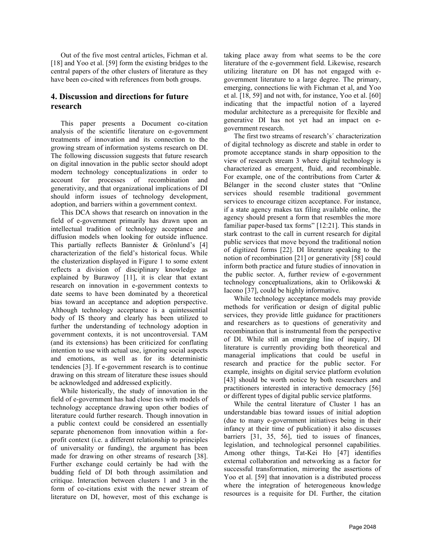Out of the five most central articles, Fichman et al. [18] and Yoo et al. [59] form the existing bridges to the central papers of the other clusters of literature as they have been co-cited with references from both groups.

# **4. Discussion and directions for future research**

This paper presents a Document co-citation analysis of the scientific literature on e-government treatments of innovation and its connection to the growing stream of information systems research on DI. The following discussion suggests that future research on digital innovation in the public sector should adopt modern technology conceptualizations in order to account for processes of recombination and generativity, and that organizational implications of DI should inform issues of technology development, adoption, and barriers within a government context.

This DCA shows that research on innovation in the field of e-government primarily has drawn upon an intellectual tradition of technology acceptance and diffusion models when looking for outside influence. This partially reflects Bannister & Grönlund's [4] characterization of the field's historical focus. While the clusterization displayed in Figure 1 to some extent reflects a division of disciplinary knowledge as explained by Burawoy [11], it is clear that extant research on innovation in e-government contexts to date seems to have been dominated by a theoretical bias toward an acceptance and adoption perspective. Although technology acceptance is a quintessential body of IS theory and clearly has been utilized to further the understanding of technology adoption in government contexts, it is not uncontroversial. TAM (and its extensions) has been criticized for conflating intention to use with actual use, ignoring social aspects and emotions, as well as for its deterministic tendencies [3]. If e-government research is to continue drawing on this stream of literature these issues should be acknowledged and addressed explicitly.

While historically, the study of innovation in the field of e-government has had close ties with models of technology acceptance drawing upon other bodies of literature could further research. Though innovation in a public context could be considered an essentially separate phenomenon from innovation within a forprofit context (i.e. a different relationship to principles of universality or funding), the argument has been made for drawing on other streams of research [38]. Further exchange could certainly be had with the budding field of DI both through assimilation and critique. Interaction between clusters 1 and 3 in the form of co-citations exist with the newer stream of literature on DI, however, most of this exchange is

taking place away from what seems to be the core literature of the e-government field. Likewise, research utilizing literature on DI has not engaged with egovernment literature to a large degree. The primary, emerging, connections lie with Fichman et al, and Yoo et al. [18, 59] and not with, for instance, Yoo et al. [60] indicating that the impactful notion of a layered modular architecture as a prerequisite for flexible and generative DI has not yet had an impact on egovernment research.

The first two streams of research's´ characterization of digital technology as discrete and stable in order to promote acceptance stands in sharp opposition to the view of research stream 3 where digital technology is characterized as emergent, fluid, and recombinable. For example, one of the contributions from Carter & Bélanger in the second cluster states that "Online services should resemble traditional government services to encourage citizen acceptance. For instance, if a state agency makes tax filing available online, the agency should present a form that resembles the more familiar paper-based tax forms" [12:21]. This stands in stark contrast to the call in current research for digital public services that move beyond the traditional notion of digitized forms [22]. DI literature speaking to the notion of recombination [21] or generativity [58] could inform both practice and future studies of innovation in the public sector. A, further review of e-government technology conceptualizations, akin to Orlikowski & Iacono [37], could be highly informative.

While technology acceptance models may provide methods for verification or design of digital public services, they provide little guidance for practitioners and researchers as to questions of generativity and recombination that is instrumental from the perspective of DI. While still an emerging line of inquiry, DI literature is currently providing both theoretical and managerial implications that could be useful in research and practice for the public sector. For example, insights on digital service platform evolution [43] should be worth notice by both researchers and practitioners interested in interactive democracy [56] or different types of digital public service platforms.

While the central literature of Cluster 1 has an understandable bias toward issues of initial adoption (due to many e-government initiatives being in their infancy at their time of publication) it also discusses barriers [31, 35, 56], tied to issues of finances, legislation, and technological personnel capabilities. Among other things, Tat‐Kei Ho [47] identifies external collaboration and networking as a factor for successful transformation, mirroring the assertions of Yoo et al. [59] that innovation is a distributed process where the integration of heterogeneous knowledge resources is a requisite for DI. Further, the citation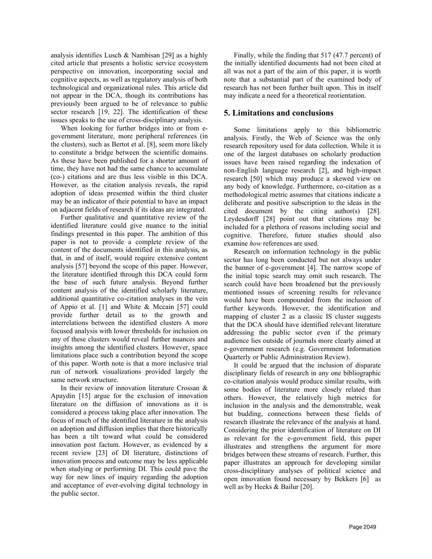analysis identifies Lusch & Nambisan [29] as a highly cited article that presents a holistic service ecosystem perspective on innovation, incorporating social and cognitive aspects, as well as regulatory analysis of both technological and organizational rules. This article did not appear in the DCA, though its contributions has previously been argued to be of relevance to public sector research [19, 22]. The identification of these issues speaks to the use of cross-disciplinary analysis.

When looking for further bridges into or from egovernment literature, more peripheral references (in the clusters), such as Bertot et al. [8], seem more likely to constitute a bridge between the scientific domains. As these have been published for a shorter amount of time, they have not had the same chance to accumulate (co-) citations and are thus less visible in this DCA. However, as the citation analysis reveals, the rapid adoption of ideas presented within the third cluster may be an indicator of their potential to have an impact on adjacent fields of research if its ideas are integrated.

Further qualitative and quantitative review of the identified literature could give nuance to the initial findings presented in this paper. The ambition of this paper is not to provide a complete review of the content of the documents identified in this analysis, as that, in and of itself, would require extensive content analysis [57] beyond the scope of this paper. However, the literature identified through this DCA could form the base of such future analysis. Beyond further content analysis of the identified scholarly literature, additional quantitative co-citation analyses in the vein of Appio et al. [1] and White & Mccain [57] could provide further detail as to the growth and interrelations between the identified clusters A more focused analysis with lower thresholds for inclusion on any of these clusters would reveal further nuances and insights among the identified clusters. However, space limitations place such a contribution beyond the scope of this paper. Worth note is that a more inclusive trial run of network visualizations provided largely the same network structure.

In their review of innovation literature Crossan & Apaydin [15] argue for the exclusion of innovation literature on the diffusion of innovations as it is considered a process taking place after innovation. The focus of much of the identified literature in the analysis on adoption and diffusion implies that there historically has been a tilt toward what could be considered innovation post factum. However, as evidenced by a recent review [23] of DI literature, distinctions of innovation process and outcome may be less applicable when studying or performing DI. This could pave the way for new lines of inquiry regarding the adoption and acceptance of ever-evolving digital technology in the public sector.

Finally, while the finding that 517 (47.7 percent) of the initially identified documents had not been cited at all was not a part of the aim of this paper, it is worth note that a substantial part of the examined body of research has not been further built upon. This in itself may indicate a need for a theoretical reorientation.

## **5. Limitations and conclusions**

Some limitations apply to this bibliometric analysis. Firstly, the Web of Science was the only research repository used for data collection. While it is one of the largest databases on scholarly production issues have been raised regarding the indexation of non-English language research [2], and high-impact research [50] which may produce a skewed view on any body of knowledge. Furthermore, co-citation as a methodological metric assumes that citations indicate a deliberate and positive subscription to the ideas in the cited document by the citing author(s) [28]. Leydesdorff [28] point out that citations may be included for a plethora of reasons including social and cognitive. Therefore, future studies should also examine *how* references are used.

Research on information technology in the public sector has long been conducted but not always under the banner of e-government [4]. The narrow scope of the initial topic search may omit such research. The search could have been broadened but the previously mentioned issues of screening results for relevance would have been compounded from the inclusion of further keywords. However, the identification and mapping of cluster 2 as a classic IS cluster suggests that the DCA should have identified relevant literature addressing the public sector even if the primary audience lies outside of journals more clearly aimed at e-government research (e.g. Government Information Quarterly or Public Administration Review).

It could be argued that the inclusion of disparate disciplinary fields of research in any one bibliographic co-citation analysis would produce similar results, with some bodies of literature more closely related than others. However, the relatively high metrics for inclusion in the analysis and the demonstrable, weak but budding, connections between these fields of research illustrate the relevance of the analysis at hand. Considering the prior identification of literature on DI as relevant for the e-government field, this paper illustrates and strengthens the argument for more bridges between these streams of research. Further, this paper illustrates an approach for developing similar cross-disciplinary analyses of political science and open innovation found necessary by Bekkers [6] as well as by Heeks & Bailur [20].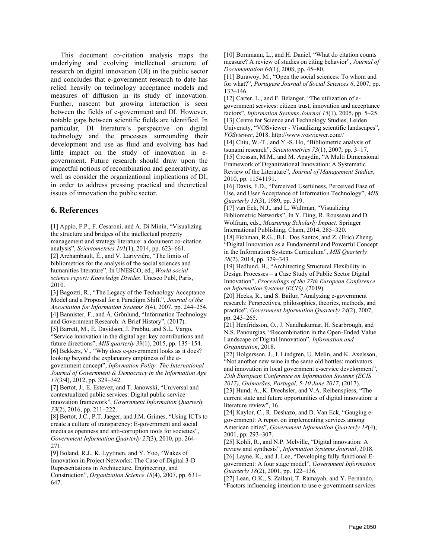This document co-citation analysis maps the underlying and evolving intellectual structure of research on digital innovation (DI) in the public sector and concludes that e-government research to date has relied heavily on technology acceptance models and measures of diffusion in its study of innovation. Further, nascent but growing interaction is seen between the fields of e-government and DI. However, notable gaps between scientific fields are identified. In particular, DI literature's perspective on digital technology and the processes surrounding their development and use as fluid and evolving has had little impact on the study of innovation in egovernment. Future research should draw upon the impactful notions of recombination and generativity, as well as consider the organizational implications of DI, in order to address pressing practical and theoretical issues of innovation the public sector.

# **6. References**

[1] Appio, F.P., F. Cesaroni, and A. Di Minin, "Visualizing the structure and bridges of the intellectual property management and strategy literature: a document co-citation analysis", *Scientometrics 101*(1), 2014, pp. 623–661. [2] Archambault, É., and V. Larivviére, "The limits of bibliometrics for the analysis of the social sciences and humanities literature", In UNESCO, ed., *World social science report: Knowledge Divides*. Unesco Publ, Paris, 2010.

[3] Bagozzi, R., "The Legacy of the Technology Acceptance Model and a Proposal for a Paradigm Shift.", *Journal of the Association for Information Systems 8*(4), 2007, pp. 244–254. [4] Bannister, F., and Å. Grönlund, "Information Technology and Government Research: A Brief History", (2017). [5] Barrett, M., E. Davidson, J. Prabhu, and S.L. Vargo,

"Service innovation in the digital age: key contributions and future directions", *MIS quarterly 39*(1), 2015, pp. 135–154. [6] Bekkers, V., "Why does e-government looks as it does? looking beyond the explanatory emptiness of the egovernment concept", *Information Polity: The International Journal of Government & Democracy in the Information Age 17*(3/4), 2012, pp. 329–342.

[7] Bertot, J., E. Estevez, and T. Janowski, "Universal and contextualized public services: Digital public service innovation framework", *Government Information Quarterly 33*(2), 2016, pp. 211–222.

[8] Bertot, J.C., P.T. Jaeger, and J.M. Grimes, "Using ICTs to create a culture of transparency: E-government and social media as openness and anti-corruption tools for societies", *Government Information Quarterly 27*(3), 2010, pp. 264– 271.

[9] Boland, R.J., K. Lyytinen, and Y. Yoo, "Wakes of Innovation in Project Networks: The Case of Digital 3-D Representations in Architecture, Engineering, and Construction", *Organization Science 18*(4), 2007, pp. 631– 647.

[10] Bornmann, L., and H. Daniel, "What do citation counts measure? A review of studies on citing behavior", *Journal of Documentation 64*(1), 2008, pp. 45–80.

[11] Burawoy, M., "Open the social sciences: To whom and for what?", *Portugese Journal of Social Sciences 6*, 2007, pp. 137–146.

[12] Carter, L., and F. Bélanger, "The utilization of egovernment services: citizen trust, innovation and acceptance factors", *Information Systems Journal 15*(1), 2005, pp. 5–25. [13] Centre for Science and Technology Studies, Leiden University, "VOSviewer - Visualizing scientific landscapes",

*VOSviewer*, 2018. http://www.vosviewer.com// [14] Chiu, W.-T., and Y.-S. Ho, "Bibliometric analysis of

tsunami research", *Scientometrics 73*(1), 2007, pp. 3–17. [15] Crossan, M.M., and M. Apaydin, "A Multi Dimensional Framework of Organizational Innovation: A Systematic Review of the Literature", *Journal of Management Studies*, 2010, pp. 11541191.

[16] Davis, F.D., "Perceived Usefulness, Perceived Ease of Use, and User Acceptance of Information Technology", *MIS Quarterly 13*(3), 1989, pp. 319.

[17] van Eck, N.J., and L. Waltman, "Visualizing Bibliometric Networks", In Y. Ding, R. Rousseau and D. Wolfram, eds., *Measuring Scholarly Impact*. Springer International Publishing, Cham, 2014, 285–320.

[18] Fichman, R.G., B.L. Dos Santos, and Z. (Eric) Zheng, "Digital Innovation as a Fundamental and Powerful Concept in the Information Systems Curriculum", *MIS Quarterly 38*(2), 2014, pp. 329–343.

[19] Hedlund, H., "Architecting Structural Flexibility in Design Processes – a Case Study of Public Sector Digital Innovation", *Proceedings of the 27th European Conference on Information Systems (ECIS)*, (2019).

[20] Heeks, R., and S. Bailur, "Analyzing e-government research: Perspectives, philosophies, theories, methods, and practice", *Government Information Quarterly 24*(2), 2007, pp. 243–265.

[21] Henfridsson, O., J. Nandhakumar, H. Scarbrough, and N.S. Panourgias, "Recombination in the Open-Ended Value Landscape of Digital Innovation", *Information and Organization*, 2018.

[22] Holgersson, J., I. Lindgren, U. Melin, and K. Axelsson, "Not another new wine in the same old bottles: motivators and innovation in local government e-service development", *25th European Conference on Information Systems (ECIS 2017), Guimarães, Portugal, 5-10 June 2017*, (2017).

[23] Hund, A., K. Drechsler, and V.A. Reibenspiess, "The current state and future opportunities of digital innovation: a literature review", 16.

[24] Kaylor, C., R. Deshazo, and D. Van Eck, "Gauging egovernment: A report on implementing services among American cities", *Government Information Quarterly 18*(4), 2001, pp. 293–307.

[25] Kohli, R., and N.P. Melville, "Digital innovation: A review and synthesis", *Information Systems Journal*, 2018. [26] Layne, K., and J. Lee, "Developing fully functional Egovernment: A four stage model", *Government Information Quarterly 18*(2), 2001, pp. 122–136.

[27] Lean, O.K., S. Zailani, T. Ramayah, and Y. Fernando, "Factors influencing intention to use e-government services